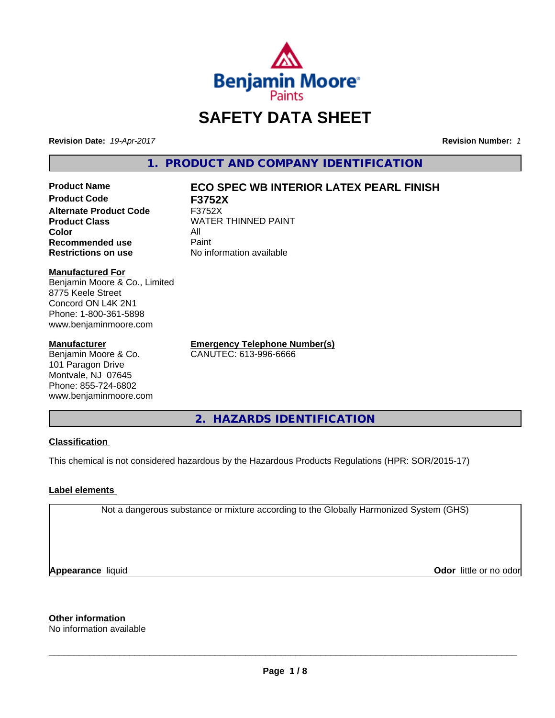

# **SAFETY DATA SHEET**

**Revision Date:** *19-Apr-2017* **Revision Number:** *1*

**1. PRODUCT AND COMPANY IDENTIFICATION**

**Product Code F3752X Alternate Product Code** F3752X **Color** All **Recommended use Paint Restrictions on use** No information available

## **Product Name ECO SPEC WB INTERIOR LATEX PEARL FINISH**

**Product Class WATER THINNED PAINT** 

**Manufactured For**

Benjamin Moore & Co., Limited 8775 Keele Street Concord ON L4K 2N1 Phone: 1-800-361-5898 www.benjaminmoore.com

## **Manufacturer**

Benjamin Moore & Co. 101 Paragon Drive Montvale, NJ 07645 Phone: 855-724-6802 www.benjaminmoore.com **Emergency Telephone Number(s)** CANUTEC: 613-996-6666

**2. HAZARDS IDENTIFICATION**

## **Classification**

This chemical is not considered hazardous by the Hazardous Products Regulations (HPR: SOR/2015-17)

## **Label elements**

Not a dangerous substance or mixture according to the Globally Harmonized System (GHS)

**Appearance** liquid

**Odor** little or no odor

**Other information**

No information available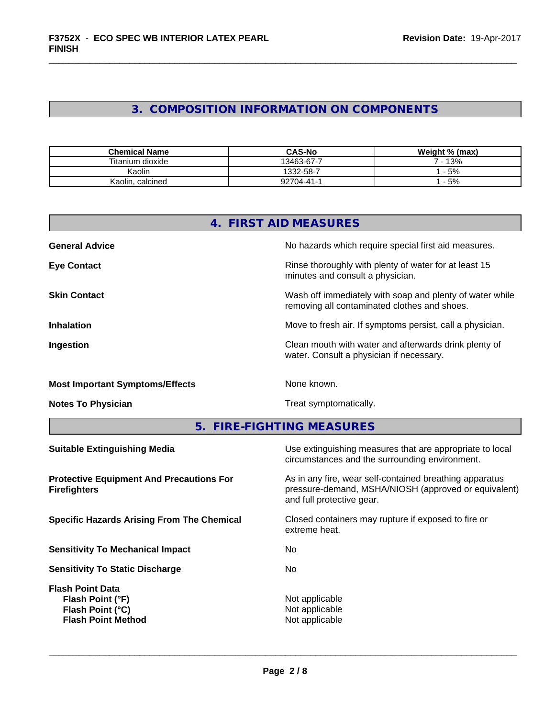## **3. COMPOSITION INFORMATION ON COMPONENTS**

| <b>Chemical Name</b> | <b>CAS-No</b> | Weight % (max) |
|----------------------|---------------|----------------|
| Titanium dioxide     | 13463-67-7    | 13%            |
| Kaolin               | 1332-58-7     | 5%             |
| Kaolin,<br>calcined  | 92704-41-1    | 5%             |

|                                        | 4. FIRST AID MEASURES                                                                                    |
|----------------------------------------|----------------------------------------------------------------------------------------------------------|
| <b>General Advice</b>                  | No hazards which require special first aid measures.                                                     |
| <b>Eye Contact</b>                     | Rinse thoroughly with plenty of water for at least 15<br>minutes and consult a physician.                |
| <b>Skin Contact</b>                    | Wash off immediately with soap and plenty of water while<br>removing all contaminated clothes and shoes. |
| <b>Inhalation</b>                      | Move to fresh air. If symptoms persist, call a physician.                                                |
| Ingestion                              | Clean mouth with water and afterwards drink plenty of<br>water. Consult a physician if necessary.        |
| <b>Most Important Symptoms/Effects</b> | None known.                                                                                              |
| <b>Notes To Physician</b>              | Treat symptomatically.                                                                                   |

**5. FIRE-FIGHTING MEASURES**

| Use extinguishing measures that are appropriate to local<br>circumstances and the surrounding environment.                                   |
|----------------------------------------------------------------------------------------------------------------------------------------------|
| As in any fire, wear self-contained breathing apparatus<br>pressure-demand, MSHA/NIOSH (approved or equivalent)<br>and full protective gear. |
| Closed containers may rupture if exposed to fire or<br>extreme heat.                                                                         |
| No.                                                                                                                                          |
| No.                                                                                                                                          |
| Not applicable<br>Not applicable<br>Not applicable                                                                                           |
|                                                                                                                                              |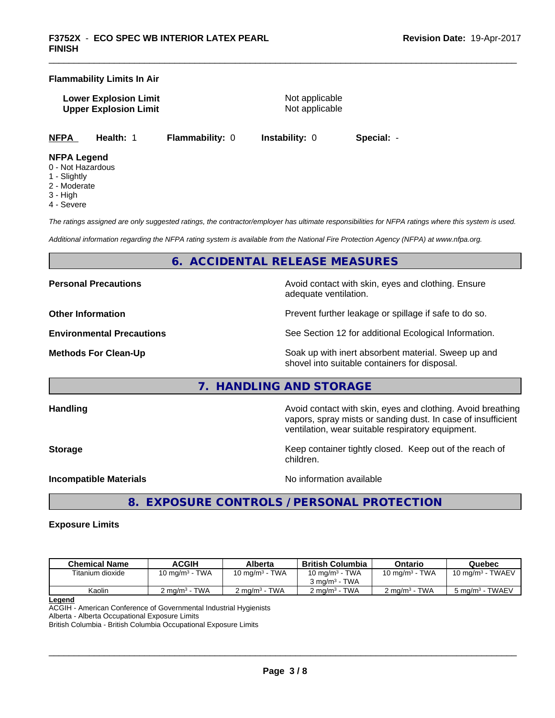## **Flammability Limits In Air**

**Lower Explosion Limit** Not applicable **Upper Explosion Limit** Not applicable

**NFPA Health:** 1 **Flammability:** 0 **Instability:** 0 **Special:** -

## **NFPA Legend**

- 0 Not Hazardous
- 1 Slightly
- 2 Moderate
- 3 High
- 4 Severe

*The ratings assigned are only suggested ratings, the contractor/employer has ultimate responsibilities for NFPA ratings where this system is used.*

*Additional information regarding the NFPA rating system is available from the National Fire Protection Agency (NFPA) at www.nfpa.org.*

## **6. ACCIDENTAL RELEASE MEASURES**

**Personal Precautions Precautions** Avoid contact with skin, eyes and clothing. Ensure

**Other Information Discription Prevent further leakage or spillage if safe to do so.** 

**Environmental Precautions** See Section 12 for additional Ecological Information.

**Methods For Clean-Up Force 20 All 20 All 20 All 20 Soak** up with inert absorbent material. Sweep up and shovel into suitable containers for disposal.

vapors, spray mists or sanding dust. In case of insufficient

ventilation, wear suitable respiratory equipment.

## **7. HANDLING AND STORAGE**

**Handling Handling Avoid contact with skin, eyes and clothing. Avoid breathing H** 

**Storage Keep container tightly closed. Keep out of the reach of Keep** container tightly closed. Keep out of the reach of children.

**Incompatible Materials Incompatible Materials No information available** 

 $\overline{\phantom{a}}$  ,  $\overline{\phantom{a}}$  ,  $\overline{\phantom{a}}$  ,  $\overline{\phantom{a}}$  ,  $\overline{\phantom{a}}$  ,  $\overline{\phantom{a}}$  ,  $\overline{\phantom{a}}$  ,  $\overline{\phantom{a}}$  ,  $\overline{\phantom{a}}$  ,  $\overline{\phantom{a}}$  ,  $\overline{\phantom{a}}$  ,  $\overline{\phantom{a}}$  ,  $\overline{\phantom{a}}$  ,  $\overline{\phantom{a}}$  ,  $\overline{\phantom{a}}$  ,  $\overline{\phantom{a}}$ 

adequate ventilation.

**8. EXPOSURE CONTROLS / PERSONAL PROTECTION**

## **Exposure Limits**

| <b>Chemical Name</b> | <b>ACGIH</b>                                      | Alberta                  | <b>British Columbia</b>  | Ontario                    | Quebec                      |
|----------------------|---------------------------------------------------|--------------------------|--------------------------|----------------------------|-----------------------------|
| Titanium dioxide     | 10 mg/m $3$ - TWA                                 | 10 mg/m $3$ - TWA        | 10 mg/m $3$ - TWA        | 10 mg/m <sup>3</sup> - TWA | TWAEV<br>10 mg/m $3 \cdot$  |
|                      |                                                   |                          | $3 \text{ ma/m}^3$ - TWA |                            |                             |
| Kaolin               | <b>TWA</b><br>$\angle$ ma/m <sup>3</sup> - $\sim$ | $2 \text{ ma/m}^3$ - TWA | $2 \text{ ma/m}^3$ - TWA | $2 \text{ ma/m}^3$ - TWA   | 5 mg/m <sup>3</sup> - TWAEV |

**Legend**

ACGIH - American Conference of Governmental Industrial Hygienists

Alberta - Alberta Occupational Exposure Limits

British Columbia - British Columbia Occupational Exposure Limits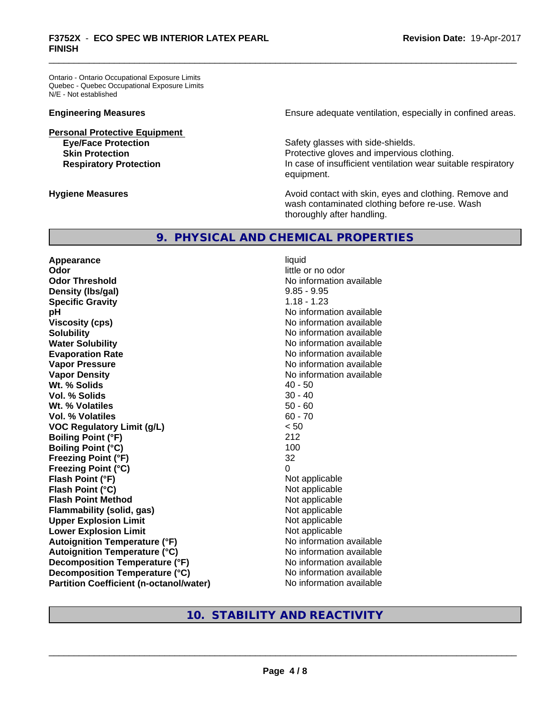Ontario - Ontario Occupational Exposure Limits Quebec - Quebec Occupational Exposure Limits N/E - Not established

**Personal Protective Equipment**

**Engineering Measures Ensure** Ensure adequate ventilation, especially in confined areas.

Safety glasses with side-shields. **Skin Protection Protection Protective gloves and impervious clothing. Respiratory Protection In case of insufficient ventilation wear suitable respiratory** equipment.

**Hygiene Measures Avoid contact with skin, eyes and clothing. Remove and Hygiene Measures** and clothing. Remove and wash contaminated clothing before re-use. Wash thoroughly after handling.

## **9. PHYSICAL AND CHEMICAL PROPERTIES**

**Appearance** liquid **Odor** little or no odor **Odor Threshold No information available No information available Density (Ibs/gal)** 9.85 - 9.95 **Specific Gravity** 1.18 - 1.23 **pH** No information available **Viscosity (cps)** No information available **Solubility** No information available **Evaporation Rate No information available No information available Vapor Pressure** No information available **Vapor Density Vapor Density No information available Wt. % Solids** 40 - 50 **Vol. % Solids** 30 - 40 **Wt. % Volatiles Vol. % Volatiles** 60 - 70 **VOC Regulatory Limit (g/L)** < 50 **Boiling Point (°F)** 212 **Boiling Point (°C)** 100 **Freezing Point (°F)** 32 **Freezing Point (°C) Flash Point (°F)** Not applicable **Flash Point (°C)**<br> **Flash Point Method**<br> **Flash Point Method** Not applicable **Flash Point Method Flammability (solid, gas)** Not applicable **Upper Explosion Limit**<br> **Lower Explosion Limit**<br> **Lower Explosion Limit Lower Explosion Limit Autoignition Temperature (°F)** No information available **Autoignition Temperature (°C)** No information available **Decomposition Temperature (°F)** No information available **Decomposition Temperature (°C)** No information available **Partition Coefficient (n-octanol/water)** No information available

**No information available** 

## **10. STABILITY AND REACTIVITY**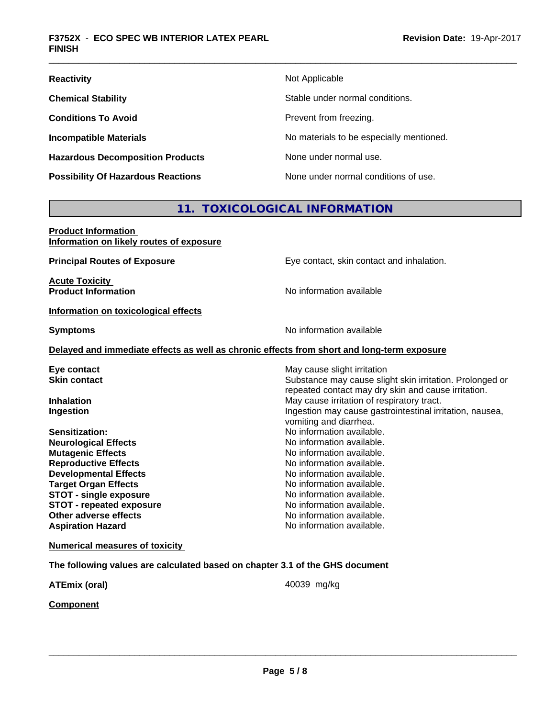| <b>Reactivity</b>                         | Not Applicable                           |
|-------------------------------------------|------------------------------------------|
| <b>Chemical Stability</b>                 | Stable under normal conditions.          |
| <b>Conditions To Avoid</b>                | Prevent from freezing.                   |
| <b>Incompatible Materials</b>             | No materials to be especially mentioned. |
| <b>Hazardous Decomposition Products</b>   | None under normal use.                   |
| <b>Possibility Of Hazardous Reactions</b> | None under normal conditions of use.     |

## **11. TOXICOLOGICAL INFORMATION**

| <b>Product Information</b><br>Information on likely routes of exposure                     |                                                          |
|--------------------------------------------------------------------------------------------|----------------------------------------------------------|
| <b>Principal Routes of Exposure</b>                                                        | Eye contact, skin contact and inhalation.                |
| <b>Acute Toxicity</b><br><b>Product Information</b>                                        | No information available                                 |
| Information on toxicological effects                                                       |                                                          |
| <b>Symptoms</b>                                                                            | No information available                                 |
| Delayed and immediate effects as well as chronic effects from short and long-term exposure |                                                          |
| Eye contact                                                                                | May cause slight irritation                              |
| <b>Skin contact</b>                                                                        | Substance may cause slight skin irritation. Prolonged or |
|                                                                                            | repeated contact may dry skin and cause irritation.      |
| Inhalation                                                                                 | May cause irritation of respiratory tract.               |
| Ingestion                                                                                  | Ingestion may cause gastrointestinal irritation, nausea, |
|                                                                                            | vomiting and diarrhea.                                   |
| Sensitization:                                                                             | No information available.                                |
| <b>Neurological Effects</b>                                                                | No information available.                                |
| <b>Mutagenic Effects</b>                                                                   | No information available.                                |
| <b>Reproductive Effects</b>                                                                | No information available.                                |
| <b>Developmental Effects</b>                                                               | No information available.                                |
| <b>Target Organ Effects</b>                                                                | No information available.                                |
| <b>STOT - single exposure</b>                                                              | No information available.                                |
| <b>STOT - repeated exposure</b>                                                            | No information available.                                |
| Other adverse effects                                                                      | No information available.                                |
| <b>Aspiration Hazard</b>                                                                   | No information available.                                |
| <b>Numerical measures of toxicity</b>                                                      |                                                          |
| The following values are calculated based on chapter 3.1 of the GHS document               |                                                          |
| <b>ATEmix (oral)</b>                                                                       | 40039 mg/kg                                              |
| <b>Component</b>                                                                           |                                                          |
|                                                                                            |                                                          |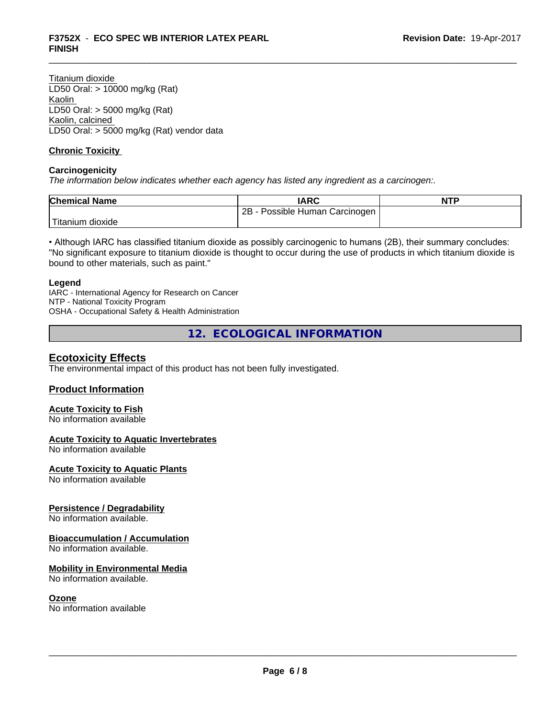Titanium dioxide LD50 Oral: > 10000 mg/kg (Rat) Kaolin LD50 Oral: > 5000 mg/kg (Rat) Kaolin, calcined LD50 Oral: > 5000 mg/kg (Rat) vendor data

## **Chronic Toxicity**

## **Carcinogenicity**

*The information below indicateswhether each agency has listed any ingredient as a carcinogen:.*

| <b>Chemical Name</b>   | IARC                            | <b>NTP</b> |
|------------------------|---------------------------------|------------|
|                        | 2B<br>Possible Human Carcinogen |            |
| Titanium J<br>⊧dioxide |                                 |            |

• Although IARC has classified titanium dioxide as possibly carcinogenic to humans (2B), their summary concludes: "No significant exposure to titanium dioxide is thought to occur during the use of products in which titanium dioxide is bound to other materials, such as paint."

#### **Legend**

IARC - International Agency for Research on Cancer NTP - National Toxicity Program OSHA - Occupational Safety & Health Administration

**12. ECOLOGICAL INFORMATION**

## **Ecotoxicity Effects**

The environmental impact of this product has not been fully investigated.

## **Product Information**

## **Acute Toxicity to Fish**

No information available

## **Acute Toxicity to Aquatic Invertebrates**

No information available

## **Acute Toxicity to Aquatic Plants**

No information available

## **Persistence / Degradability**

No information available.

## **Bioaccumulation / Accumulation**

No information available.

## **Mobility in Environmental Media**

No information available.

## **Ozone**

No information available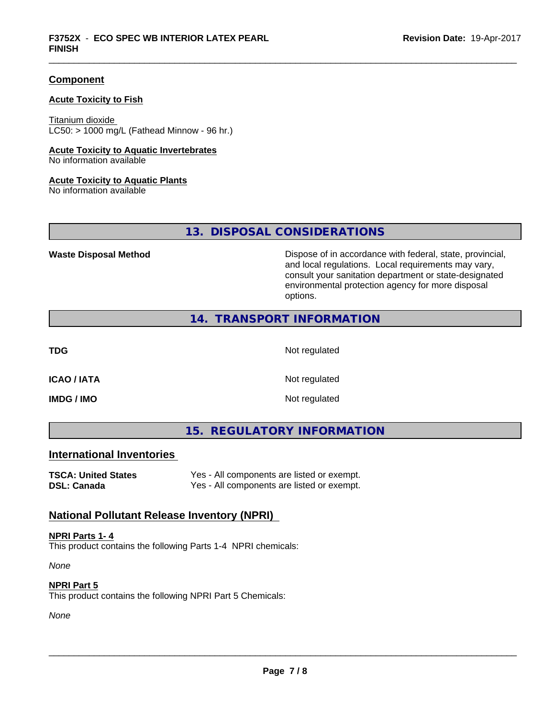## **Component**

## **Acute Toxicity to Fish**

Titanium dioxide  $LC50:$  > 1000 mg/L (Fathead Minnow - 96 hr.)

#### **Acute Toxicity to Aquatic Invertebrates**

No information available

#### **Acute Toxicity to Aquatic Plants**

No information available

**13. DISPOSAL CONSIDERATIONS**

Waste Disposal Method **Dispose of in accordance with federal, state, provincial,** and local regulations. Local requirements may vary, consult your sanitation department or state-designated environmental protection agency for more disposal options.

## **14. TRANSPORT INFORMATION**

**TDG** Not regulated

**ICAO / IATA** Not regulated

**IMDG / IMO** Not regulated

**15. REGULATORY INFORMATION**

## **International Inventories**

**TSCA: United States** Yes - All components are listed or exempt. **DSL: Canada** Yes - All components are listed or exempt.

## **National Pollutant Release Inventory (NPRI)**

**NPRI Parts 1- 4** This product contains the following Parts 1-4 NPRI chemicals:

*None*

**NPRI Part 5**

This product contains the following NPRI Part 5 Chemicals:

*None*